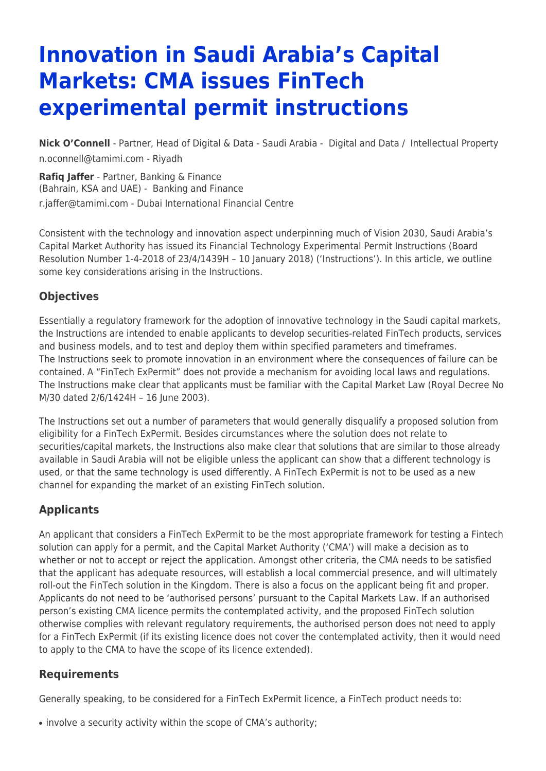# **Innovation in Saudi Arabia's Capital Markets: CMA issues FinTech experimental permit instructions**

**[Nick O'Connell](https://www.tamimi.com/find-a-lawyer/nick-oconnell/)** - Partner, Head of Digital & Data - Saudi Arabia - [Digital and Data](https://www.tamimi.com/client-services/practices/digital-data/) / [Intellectual Property](https://www.tamimi.com/client-services/practices/intellectual-property/) [n.oconnell@tamimi.com](mailto:n.oconnell@tamimi.com) - [Riyadh](https://www.tamimi.com/locations/saudi-arabia/)

**[Rafiq Jaffer](https://www.tamimi.com/find-a-lawyer/rafiq-jaffer/)** - Partner, Banking & Finance (Bahrain, KSA and UAE) - [Banking and Finance](https://www.tamimi.com/client-services/practices/banking-finance/) [r.jaffer@tamimi.com](mailto:r.jaffer@tamimi.com) - [Dubai International Financial Centre](https://www.tamimi.com/locations/uae/)

Consistent with the technology and innovation aspect underpinning much of Vision 2030, Saudi Arabia's Capital Market Authority has issued its Financial Technology Experimental Permit Instructions (Board Resolution Number 1-4-2018 of 23/4/1439H – 10 January 2018) ('Instructions'). In this article, we outline some key considerations arising in the Instructions.

#### **Objectives**

Essentially a regulatory framework for the adoption of innovative technology in the Saudi capital markets, the Instructions are intended to enable applicants to develop securities-related FinTech products, services and business models, and to test and deploy them within specified parameters and timeframes. The Instructions seek to promote innovation in an environment where the consequences of failure can be contained. A "FinTech ExPermit" does not provide a mechanism for avoiding local laws and regulations. The Instructions make clear that applicants must be familiar with the Capital Market Law (Royal Decree No M/30 dated 2/6/1424H – 16 June 2003).

The Instructions set out a number of parameters that would generally disqualify a proposed solution from eligibility for a FinTech ExPermit. Besides circumstances where the solution does not relate to securities/capital markets, the Instructions also make clear that solutions that are similar to those already available in Saudi Arabia will not be eligible unless the applicant can show that a different technology is used, or that the same technology is used differently. A FinTech ExPermit is not to be used as a new channel for expanding the market of an existing FinTech solution.

## **Applicants**

An applicant that considers a FinTech ExPermit to be the most appropriate framework for testing a Fintech solution can apply for a permit, and the Capital Market Authority ('CMA') will make a decision as to whether or not to accept or reject the application. Amongst other criteria, the CMA needs to be satisfied that the applicant has adequate resources, will establish a local commercial presence, and will ultimately roll-out the FinTech solution in the Kingdom. There is also a focus on the applicant being fit and proper. Applicants do not need to be 'authorised persons' pursuant to the Capital Markets Law. If an authorised person's existing CMA licence permits the contemplated activity, and the proposed FinTech solution otherwise complies with relevant regulatory requirements, the authorised person does not need to apply for a FinTech ExPermit (if its existing licence does not cover the contemplated activity, then it would need to apply to the CMA to have the scope of its licence extended).

#### **Requirements**

Generally speaking, to be considered for a FinTech ExPermit licence, a FinTech product needs to:

• involve a security activity within the scope of CMA's authority;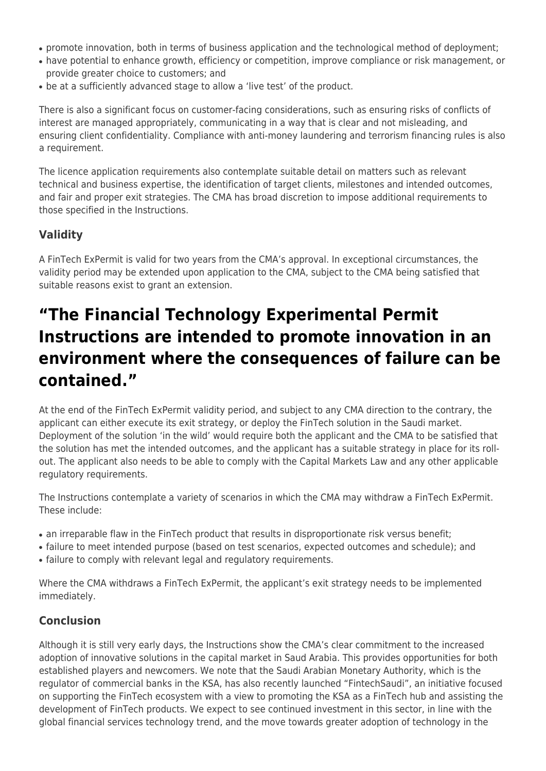- promote innovation, both in terms of business application and the technological method of deployment;
- have potential to enhance growth, efficiency or competition, improve compliance or risk management, or provide greater choice to customers; and
- be at a sufficiently advanced stage to allow a 'live test' of the product.

There is also a significant focus on customer-facing considerations, such as ensuring risks of conflicts of interest are managed appropriately, communicating in a way that is clear and not misleading, and ensuring client confidentiality. Compliance with anti-money laundering and terrorism financing rules is also a requirement.

The licence application requirements also contemplate suitable detail on matters such as relevant technical and business expertise, the identification of target clients, milestones and intended outcomes, and fair and proper exit strategies. The CMA has broad discretion to impose additional requirements to those specified in the Instructions.

# **Validity**

A FinTech ExPermit is valid for two years from the CMA's approval. In exceptional circumstances, the validity period may be extended upon application to the CMA, subject to the CMA being satisfied that suitable reasons exist to grant an extension.

# **"The Financial Technology Experimental Permit Instructions are intended to promote innovation in an environment where the consequences of failure can be contained."**

At the end of the FinTech ExPermit validity period, and subject to any CMA direction to the contrary, the applicant can either execute its exit strategy, or deploy the FinTech solution in the Saudi market. Deployment of the solution 'in the wild' would require both the applicant and the CMA to be satisfied that the solution has met the intended outcomes, and the applicant has a suitable strategy in place for its rollout. The applicant also needs to be able to comply with the Capital Markets Law and any other applicable regulatory requirements.

The Instructions contemplate a variety of scenarios in which the CMA may withdraw a FinTech ExPermit. These include:

- an irreparable flaw in the FinTech product that results in disproportionate risk versus benefit;
- failure to meet intended purpose (based on test scenarios, expected outcomes and schedule); and
- failure to comply with relevant legal and regulatory requirements.

Where the CMA withdraws a FinTech ExPermit, the applicant's exit strategy needs to be implemented immediately.

## **Conclusion**

Although it is still very early days, the Instructions show the CMA's clear commitment to the increased adoption of innovative solutions in the capital market in Saud Arabia. This provides opportunities for both established players and newcomers. We note that the Saudi Arabian Monetary Authority, which is the regulator of commercial banks in the KSA, has also recently launched "FintechSaudi", an initiative focused on supporting the FinTech ecosystem with a view to promoting the KSA as a FinTech hub and assisting the development of FinTech products. We expect to see continued investment in this sector, in line with the global financial services technology trend, and the move towards greater adoption of technology in the